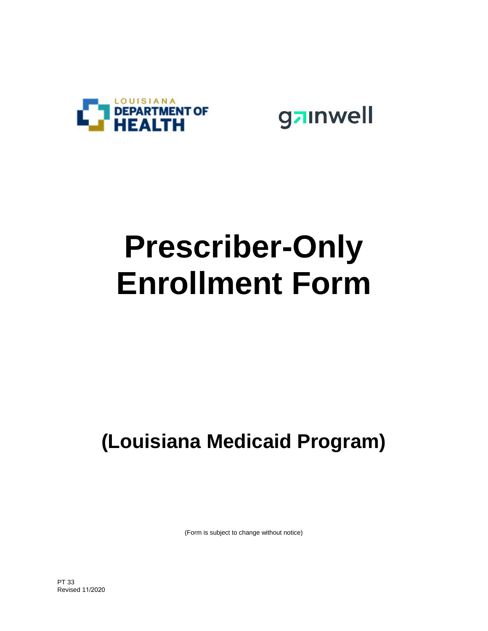

gainwell

# **Prescriber-Only Enrollment Form**

## **(Louisiana Medicaid Program)**

(Form is subject to change without notice)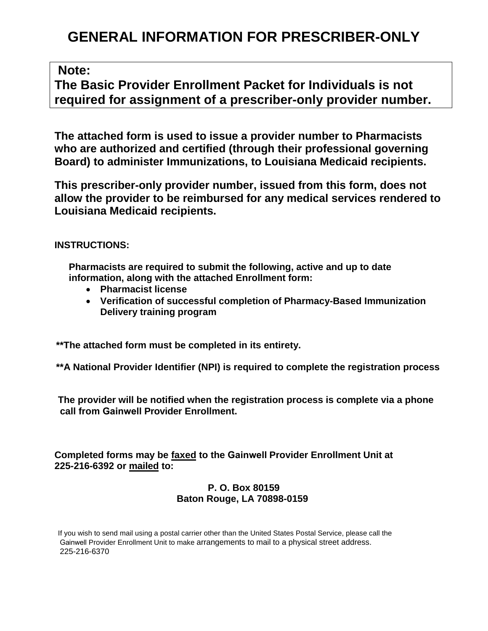### **GENERAL INFORMATION FOR PRESCRIBER-ONLY**

#### **Note:**

**The Basic Provider Enrollment Packet for Individuals is not required for assignment of a prescriber-only provider number.**

**The attached form is used to issue a provider number to Pharmacists who are authorized and certified (through their professional governing Board) to administer Immunizations, to Louisiana Medicaid recipients.**

**This prescriber-only provider number, issued from this form, does not allow the provider to be reimbursed for any medical services rendered to Louisiana Medicaid recipients.**

**INSTRUCTIONS:**

**Pharmacists are required to submit the following, active and up to date information, along with the attached Enrollment form:**

- **Pharmacist license**
- **Verification of successful completion of Pharmacy-Based Immunization Delivery training program**

**\*\*The attached form must be completed in its entirety.**

**\*\*A National Provider Identifier (NPI) is required to complete the registration process**

**The provider will be notified when the registration process is complete via a phone call from Gainwell Provider Enrollment.** 

**Completed forms may be faxed to the Gainwell Provider Enrollment Unit at 225-216-6392 or mailed to:**

#### **P. O. Box 80159 Baton Rouge, LA 70898-0159**

If you wish to send mail using a postal carrier other than the United States Postal Service, please call the Gainwell Provider Enrollment Unit to make arrangements to mail to a physical street address. 225-216-6370